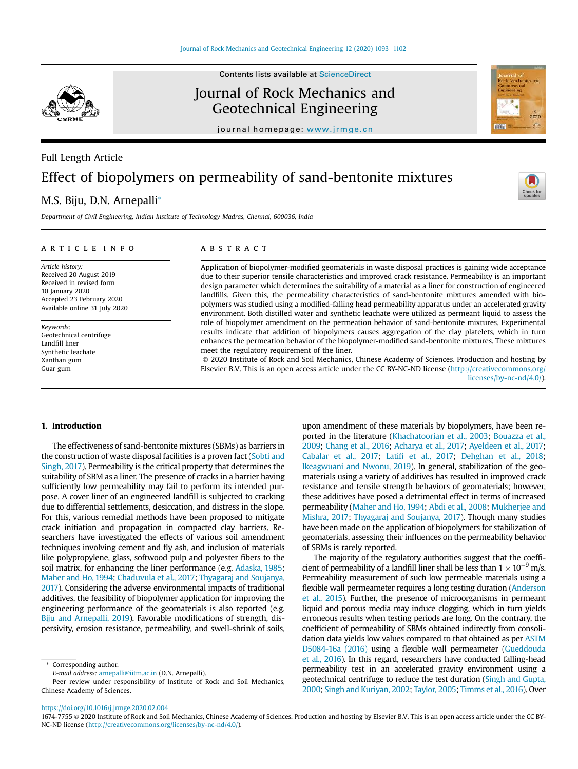

Full Length Article

Contents lists available at ScienceDirect

## Journal of Rock Mechanics and Geotechnical Engineering

journal homepage: www.jrmge.cn

# Effect of biopolymers on permeability of sand-bentonite mixtures

## M.S. Biju, D.N. Arnepalli\*

*Department of Civil Engineering, Indian Institute of Technology Madras, Chennai, 600036, India*

#### article info

*Article history:* Received 20 August 2019 Received in revised form 10 January 2020 Accepted 23 February 2020 Available online 31 July 2020

*Keywords:* Geotechnical centrifuge Landfill liner Synthetic leachate Xanthan gum Guar gum

#### **ABSTRACT**

Application of biopolymer-modified geomaterials in waste disposal practices is gaining wide acceptance due to their superior tensile characteristics and improved crack resistance. Permeability is an important design parameter which determines the suitability of a material as a liner for construction of engineered landfills. Given this, the permeability characteristics of sand-bentonite mixtures amended with biopolymers was studied using a modified-falling head permeability apparatus under an accelerated gravity environment. Both distilled water and synthetic leachate were utilized as permeant liquid to assess the role of biopolymer amendment on the permeation behavior of sand-bentonite mixtures. Experimental results indicate that addition of biopolymers causes aggregation of the clay platelets, which in turn enhances the permeation behavior of the biopolymer-modified sand-bentonite mixtures. These mixtures meet the regulatory requirement of the liner.

 2020 Institute of Rock and Soil Mechanics, Chinese Academy of Sciences. Production and hosting by Elsevier B.V. This is an open access article under the CC BY-NC-ND license (http://creativecommons.org/ licenses/by-nc-nd/4.0/).

#### 1. Introduction

The effectiveness of sand-bentonite mixtures (SBMs) as barriers in the construction of waste disposal facilities is a proven fact (Sobti and Singh, 2017). Permeability is the critical property that determines the suitability of SBM as a liner. The presence of cracks in a barrier having sufficiently low permeability may fail to perform its intended purpose. A cover liner of an engineered landfill is subjected to cracking due to differential settlements, desiccation, and distress in the slope. For this, various remedial methods have been proposed to mitigate crack initiation and propagation in compacted clay barriers. Researchers have investigated the effects of various soil amendment techniques involving cement and fly ash, and inclusion of materials like polypropylene, glass, softwood pulp and polyester fibers to the soil matrix, for enhancing the liner performance (e.g. Adaska, 1985; Maher and Ho, 1994; Chaduvula et al., 2017; Thyagaraj and Soujanya, 2017). Considering the adverse environmental impacts of traditional additives, the feasibility of biopolymer application for improving the engineering performance of the geomaterials is also reported (e.g. Biju and Arnepalli, 2019). Favorable modifications of strength, dispersivity, erosion resistance, permeability, and swell-shrink of soils,

Corresponding author.

*E-mail address:* arnepalli@iitm.ac.in (D.N. Arnepalli).

Peer review under responsibility of Institute of Rock and Soil Mechanics, Chinese Academy of Sciences.

upon amendment of these materials by biopolymers, have been reported in the literature (Khachatoorian et al., 2003; Bouazza et al., 2009; Chang et al., 2016; Acharya et al., 2017; Ayeldeen et al., 2017; Cabalar et al., 2017; Latifi et al., 2017; Dehghan et al., 2018; Ikeagwuani and Nwonu, 2019). In general, stabilization of the geomaterials using a variety of additives has resulted in improved crack resistance and tensile strength behaviors of geomaterials; however, these additives have posed a detrimental effect in terms of increased permeability (Maher and Ho, 1994; Abdi et al., 2008; Mukherjee and Mishra, 2017; Thyagaraj and Soujanya, 2017). Though many studies have been made on the application of biopolymers for stabilization of geomaterials, assessing their influences on the permeability behavior of SBMs is rarely reported.

The majority of the regulatory authorities suggest that the coefficient of permeability of a landfill liner shall be less than  $1 \times 10^{-9}$  m/s. Permeability measurement of such low permeable materials using a flexible wall permeameter requires a long testing duration (Anderson et al., 2015). Further, the presence of microorganisms in permeant liquid and porous media may induce clogging, which in turn yields erroneous results when testing periods are long. On the contrary, the coefficient of permeability of SBMs obtained indirectly from consolidation data yields low values compared to that obtained as per ASTM D5084-16a (2016) using a flexible wall permeameter (Gueddouda et al., 2016). In this regard, researchers have conducted falling-head permeability test in an accelerated gravity environment using a geotechnical centrifuge to reduce the test duration (Singh and Gupta, 2000; Singh and Kuriyan, 2002; Taylor, 2005; Timms et al., 2016). Over

https://doi.org/10.1016/j.jrmge.2020.02.004

<sup>1674-7755</sup> 2020 Institute of Rock and Soil Mechanics, Chinese Academy of Sciences. Production and hosting by Elsevier B.V. This is an open access article under the CC BY-NC-ND license (http://creativecommons.org/licenses/by-nc-nd/4.0/).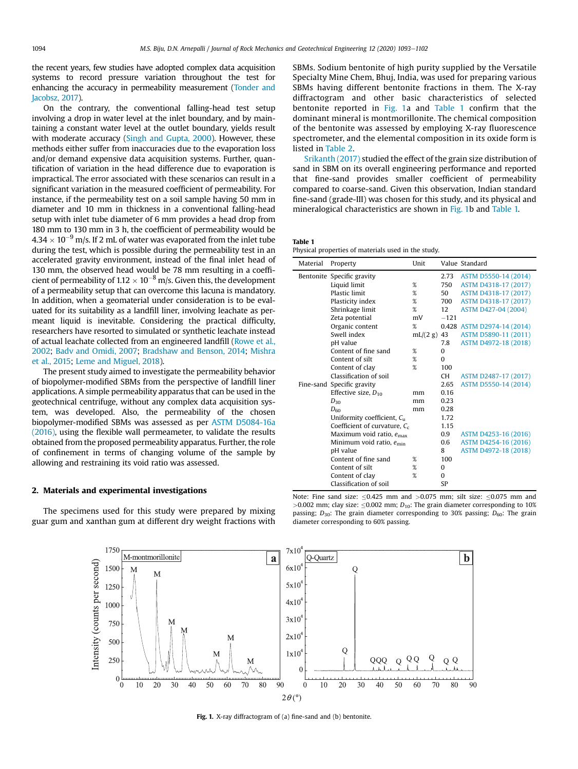the recent years, few studies have adopted complex data acquisition systems to record pressure variation throughout the test for enhancing the accuracy in permeability measurement (Tonder and Jacobsz, 2017).

On the contrary, the conventional falling-head test setup involving a drop in water level at the inlet boundary, and by maintaining a constant water level at the outlet boundary, yields result with moderate accuracy (Singh and Gupta, 2000). However, these methods either suffer from inaccuracies due to the evaporation loss and/or demand expensive data acquisition systems. Further, quantification of variation in the head difference due to evaporation is impractical. The error associated with these scenarios can result in a significant variation in the measured coefficient of permeability. For instance, if the permeability test on a soil sample having 50 mm in diameter and 10 mm in thickness in a conventional falling-head setup with inlet tube diameter of 6 mm provides a head drop from 180 mm to 130 mm in 3 h, the coefficient of permeability would be  $4.34 \times 10^{-9}$  m/s. If 2 mL of water was evaporated from the inlet tube during the test, which is possible during the permeability test in an accelerated gravity environment, instead of the final inlet head of 130 mm, the observed head would be 78 mm resulting in a coefficient of permeability of  $1.12 \times 10^{-8}$  m/s. Given this, the development of a permeability setup that can overcome this lacuna is mandatory. In addition, when a geomaterial under consideration is to be evaluated for its suitability as a landfill liner, involving leachate as permeant liquid is inevitable. Considering the practical difficulty, researchers have resorted to simulated or synthetic leachate instead of actual leachate collected from an engineered landfill (Rowe et al., 2002; Badv and Omidi, 2007; Bradshaw and Benson, 2014; Mishra et al., 2015; Leme and Miguel, 2018).

The present study aimed to investigate the permeability behavior of biopolymer-modified SBMs from the perspective of landfill liner applications. A simple permeability apparatus that can be used in the geotechnical centrifuge, without any complex data acquisition system, was developed. Also, the permeability of the chosen biopolymer-modified SBMs was assessed as per ASTM D5084-16a (2016), using the flexible wall permeameter, to validate the results obtained from the proposed permeability apparatus. Further, the role of confinement in terms of changing volume of the sample by allowing and restraining its void ratio was assessed.

#### 2. Materials and experimental investigations

The specimens used for this study were prepared by mixing guar gum and xanthan gum at different dry weight fractions with SBMs. Sodium bentonite of high purity supplied by the Versatile Specialty Mine Chem, Bhuj, India, was used for preparing various SBMs having different bentonite fractions in them. The X-ray diffractogram and other basic characteristics of selected bentonite reported in Fig. 1a and Table 1 confirm that the dominant mineral is montmorillonite. The chemical composition of the bentonite was assessed by employing X-ray fluorescence spectrometer, and the elemental composition in its oxide form is listed in Table 2.

Srikanth (2017) studied the effect of the grain size distribution of sand in SBM on its overall engineering performance and reported that fine-sand provides smaller coefficient of permeability compared to coarse-sand. Given this observation, Indian standard fine-sand (grade-III) was chosen for this study, and its physical and mineralogical characteristics are shown in Fig. 1b and Table 1.

#### Table 1

Physical properties of materials used in the study.

| Material | Property                             | Unit     |           | Value Standard             |
|----------|--------------------------------------|----------|-----------|----------------------------|
|          | Bentonite Specific gravity           |          | 2.73      | ASTM D5550-14 (2014)       |
|          | Liquid limit                         | %        | 750       | ASTM D4318-17 (2017)       |
|          | <b>Plastic limit</b>                 | %        | 50        | ASTM D4318-17 (2017)       |
|          | Plasticity index                     | %        | 700       | ASTM D4318-17 (2017)       |
|          | Shrinkage limit                      | %        | 12        | ASTM D427-04 (2004)        |
|          | Zeta potential                       | mV       | $-121$    |                            |
|          | Organic content                      | %        |           | 0.428 ASTM D2974-14 (2014) |
|          | Swell index                          | mL/(2 g) | 43        | ASTM D5890-11 (2011)       |
|          | pH value                             |          | 7.8       | ASTM D4972-18 (2018)       |
|          | Content of fine sand                 | %        | $\Omega$  |                            |
|          | Content of silt                      | %        | $\Omega$  |                            |
|          | Content of clay                      | %        | 100       |                            |
|          | Classification of soil               |          | CH.       | ASTM D2487-17 (2017)       |
|          | Fine-sand Specific gravity           |          | 2.65      | ASTM D5550-14 (2014)       |
|          | Effective size, $D_{10}$             | mm       | 0.16      |                            |
|          | $D_{30}$                             | mm       | 0.23      |                            |
|          | $D_{60}$                             | mm       | 0.28      |                            |
|          | Uniformity coefficient, $C_{11}$     |          | 1.72      |                            |
|          | Coefficient of curvature, $C_c$      |          | 1.15      |                            |
|          | Maximum void ratio, $e_{\text{max}}$ |          | 0.9       | ASTM D4253-16 (2016)       |
|          | Minimum void ratio, e <sub>min</sub> |          | 0.6       | ASTM D4254-16 (2016)       |
|          | pH value                             |          | 8         | ASTM D4972-18 (2018)       |
|          | Content of fine sand                 | %        | 100       |                            |
|          | Content of silt                      | %        | $\Omega$  |                            |
|          | Content of clay                      | %        | $\Omega$  |                            |
|          | Classification of soil               |          | <b>SP</b> |                            |

Note: Fine sand size:  $\leq 0.425$  mm and  $> 0.075$  mm; silt size:  $\leq 0.075$  mm and  $>0.002$  mm; clay size:  $\leq 0.002$  mm;  $D_{10}$ : The grain diameter corresponding to 10% passing; *D*30: The grain diameter corresponding to 30% passing; *D*60: The grain diameter corresponding to 60% passing.



Fig. 1. X-ray diffractogram of (a) fine-sand and (b) bentonite.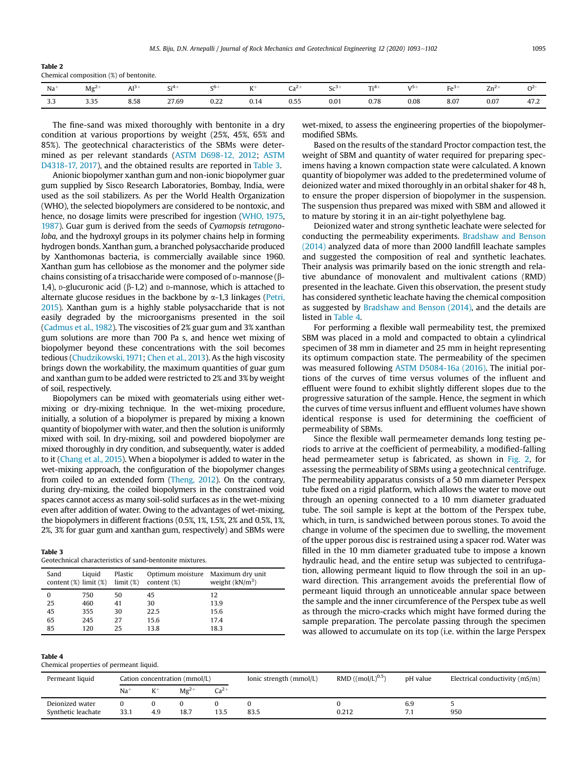| Table 2 |                                        |  |  |
|---------|----------------------------------------|--|--|
|         | Chemical composition (%) of bentonite. |  |  |

| Na        | Mg <sup>2</sup> | Al <sup>3</sup> | Si <sup>4</sup> | cь   | $V^+$<br>$\mathbf{v}$ | :∠∼<br>cα | خى<br>ບປ | $Ti4+$<br> | 1J   | F <sub>0</sub> | $Zn^2$<br>$-$ | ω    |
|-----------|-----------------|-----------------|-----------------|------|-----------------------|-----------|----------|------------|------|----------------|---------------|------|
| າາ<br>د.د | 3.35            | 8.58            | 27.69           | 0.22 | 0.14                  | 0.55      | 0.01     | 0.78       | 0.08 | 8.07           | 0.07          | 47.2 |

The fine-sand was mixed thoroughly with bentonite in a dry condition at various proportions by weight (25%, 45%, 65% and 85%). The geotechnical characteristics of the SBMs were determined as per relevant standards (ASTM D698-12, 2012; ASTM D4318-17, 2017), and the obtained results are reported in Table 3.

Anionic biopolymer xanthan gum and non-ionic biopolymer guar gum supplied by Sisco Research Laboratories, Bombay, India, were used as the soil stabilizers. As per the World Health Organization (WHO), the selected biopolymers are considered to be nontoxic, and hence, no dosage limits were prescribed for ingestion (WHO, 1975, 1987). Guar gum is derived from the seeds of *Cyamopsis tetragonoloba,* and the hydroxyl groups in its polymer chains help in forming hydrogen bonds. Xanthan gum, a branched polysaccharide produced by Xanthomonas bacteria, is commercially available since 1960. Xanthan gum has cellobiose as the monomer and the polymer side chains consisting of a trisaccharide were composed of  $D$ -mannose ( $\beta$ -1,4), p-glucuronic acid  $(\beta-1,2)$  and p-mannose, which is attached to alternate glucose residues in the backbone by  $\alpha$ -1,3 linkages (Petri, 2015). Xanthan gum is a highly stable polysaccharide that is not easily degraded by the microorganisms presented in the soil (Cadmus et al., 1982). The viscosities of 2% guar gum and 3% xanthan gum solutions are more than 700 Pa s, and hence wet mixing of biopolymer beyond these concentrations with the soil becomes tedious (Chudzikowski, 1971; Chen et al., 2013). As the high viscosity brings down the workability, the maximum quantities of guar gum and xanthan gum to be added were restricted to 2% and 3% by weight of soil, respectively.

Biopolymers can be mixed with geomaterials using either wetmixing or dry-mixing technique. In the wet-mixing procedure, initially, a solution of a biopolymer is prepared by mixing a known quantity of biopolymer with water, and then the solution is uniformly mixed with soil. In dry-mixing, soil and powdered biopolymer are mixed thoroughly in dry condition, and subsequently, water is added to it (Chang et al., 2015). When a biopolymer is added to water in the wet-mixing approach, the configuration of the biopolymer changes from coiled to an extended form (Theng, 2012). On the contrary, during dry-mixing, the coiled biopolymers in the constrained void spaces cannot access as many soil-solid surfaces as in the wet-mixing even after addition of water. Owing to the advantages of wet-mixing, the biopolymers in different fractions (0.5%, 1%, 1.5%, 2% and 0.5%, 1%, 2%, 3% for guar gum and xanthan gum, respectively) and SBMs were

#### Table 3

| Geotechnical characteristics of sand-bentonite mixtures. |  |  |
|----------------------------------------------------------|--|--|
|                                                          |  |  |

| Sand | Liquid<br>content $(\%)$ limit $(\%)$ | Plastic<br>limit (%) | content $(\%)$ | Optimum moisture Maximum dry unit<br>weight $(kN/m3)$ |
|------|---------------------------------------|----------------------|----------------|-------------------------------------------------------|
| 0    | 750                                   | 50                   | 45             | 12                                                    |
| 25   | 460                                   | 41                   | 30             | 13.9                                                  |
| 45   | 355                                   | 30                   | 22.5           | 15.6                                                  |
| 65   | 245                                   | 27                   | 15.6           | 17.4                                                  |
| 85   | 120                                   | 25                   | 13.8           | 18.3                                                  |

| Ш |
|---|
|---|

Chemical properties of permeant liquid.

wet-mixed, to assess the engineering properties of the biopolymermodified SBMs.

Based on the results of the standard Proctor compaction test, the weight of SBM and quantity of water required for preparing specimens having a known compaction state were calculated. A known quantity of biopolymer was added to the predetermined volume of deionized water and mixed thoroughly in an orbital shaker for 48 h, to ensure the proper dispersion of biopolymer in the suspension. The suspension thus prepared was mixed with SBM and allowed it to mature by storing it in an air-tight polyethylene bag.

Deionized water and strong synthetic leachate were selected for conducting the permeability experiments. Bradshaw and Benson (2014) analyzed data of more than 2000 landfill leachate samples and suggested the composition of real and synthetic leachates. Their analysis was primarily based on the ionic strength and relative abundance of monovalent and multivalent cations (RMD) presented in the leachate. Given this observation, the present study has considered synthetic leachate having the chemical composition as suggested by Bradshaw and Benson (2014), and the details are listed in Table 4.

For performing a flexible wall permeability test, the premixed SBM was placed in a mold and compacted to obtain a cylindrical specimen of 38 mm in diameter and 25 mm in height representing its optimum compaction state. The permeability of the specimen was measured following ASTM D5084-16a (2016). The initial portions of the curves of time versus volumes of the influent and effluent were found to exhibit slightly different slopes due to the progressive saturation of the sample. Hence, the segment in which the curves of time versus influent and effluent volumes have shown identical response is used for determining the coefficient of permeability of SBMs.

Since the flexible wall permeameter demands long testing periods to arrive at the coefficient of permeability, a modified-falling head permeameter setup is fabricated, as shown in Fig. 2, for assessing the permeability of SBMs using a geotechnical centrifuge. The permeability apparatus consists of a 50 mm diameter Perspex tube fixed on a rigid platform, which allows the water to move out through an opening connected to a 10 mm diameter graduated tube. The soil sample is kept at the bottom of the Perspex tube, which, in turn, is sandwiched between porous stones. To avoid the change in volume of the specimen due to swelling, the movement of the upper porous disc is restrained using a spacer rod. Water was filled in the 10 mm diameter graduated tube to impose a known hydraulic head, and the entire setup was subjected to centrifugation, allowing permeant liquid to flow through the soil in an upward direction. This arrangement avoids the preferential flow of permeant liquid through an unnoticeable annular space between the sample and the inner circumference of the Perspex tube as well as through the micro-cracks which might have formed during the sample preparation. The percolate passing through the specimen was allowed to accumulate on its top (i.e. within the large Perspex

| Permeant liquid                       | Cation concentration (mmol/L) |       |           |           | Ionic strength (mmol/L) | RMD $((mol/L)^{0.5})$ | pH value | Electrical conductivity (mS/m) |
|---------------------------------------|-------------------------------|-------|-----------|-----------|-------------------------|-----------------------|----------|--------------------------------|
|                                       | $Na+$                         | $K^+$ | $Mg^{2+}$ | $Ca^{2+}$ |                         |                       |          |                                |
| Deionized water<br>Synthetic leachate | 33.1                          | 4.9   | 18.7      | 13.5      | 83.5                    | 0.212                 | 6.9      | 950                            |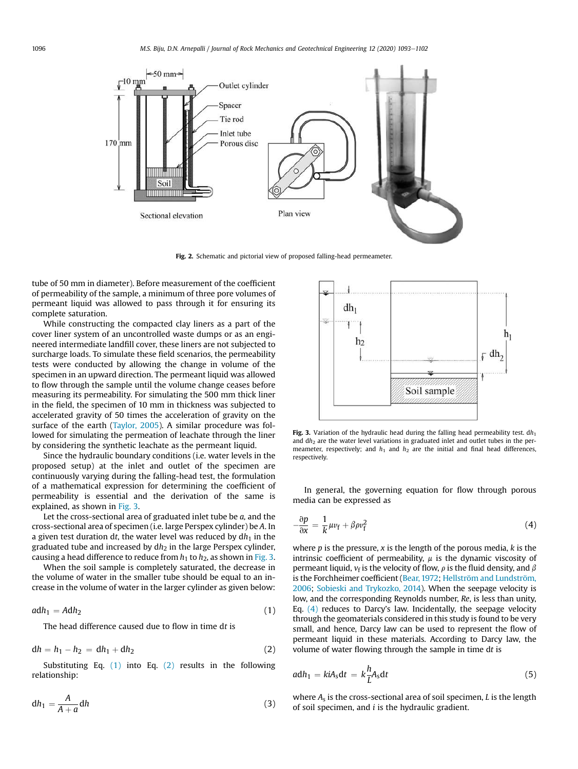

Fig. 2. Schematic and pictorial view of proposed falling-head permeameter.

tube of 50 mm in diameter). Before measurement of the coefficient of permeability of the sample, a minimum of three pore volumes of permeant liquid was allowed to pass through it for ensuring its complete saturation.

While constructing the compacted clay liners as a part of the cover liner system of an uncontrolled waste dumps or as an engineered intermediate landfill cover, these liners are not subjected to surcharge loads. To simulate these field scenarios, the permeability tests were conducted by allowing the change in volume of the specimen in an upward direction. The permeant liquid was allowed to flow through the sample until the volume change ceases before measuring its permeability. For simulating the 500 mm thick liner in the field, the specimen of 10 mm in thickness was subjected to accelerated gravity of 50 times the acceleration of gravity on the surface of the earth (Taylor, 2005). A similar procedure was followed for simulating the permeation of leachate through the liner by considering the synthetic leachate as the permeant liquid.

Since the hydraulic boundary conditions (i.e. water levels in the proposed setup) at the inlet and outlet of the specimen are continuously varying during the falling-head test, the formulation of a mathematical expression for determining the coefficient of permeability is essential and the derivation of the same is explained, as shown in Fig. 3.

Let the cross-sectional area of graduated inlet tube be *a,* and the cross-sectional area of specimen (i.e. large Perspex cylinder) be *A*. In a given test duration  $dt$ , the water level was reduced by  $dh_1$  in the graduated tube and increased by dh<sub>2</sub> in the large Perspex cylinder, causing a head difference to reduce from  $h_1$  to  $h_2$ , as shown in Fig. 3.

When the soil sample is completely saturated, the decrease in the volume of water in the smaller tube should be equal to an increase in the volume of water in the larger cylinder as given below:

$$
adh_1 = Adh_2 \tag{1}
$$

The head difference caused due to flow in time d*t* is

$$
dh = h_1 - h_2 = dh_1 + dh_2 \tag{2}
$$

Substituting Eq. (1) into Eq. (2) results in the following relationship:

$$
dh_1 = \frac{A}{A+a} dh \tag{3}
$$



Fig. 3. Variation of the hydraulic head during the falling head permeability test.  $dh_1$ and dh<sub>2</sub> are the water level variations in graduated inlet and outlet tubes in the permeameter, respectively; and  $h_1$  and  $h_2$  are the initial and final head differences, respectively.

In general, the governing equation for flow through porous media can be expressed as

$$
-\frac{\partial p}{\partial x} = \frac{1}{k} \mu v_f + \beta \rho v_f^2 \tag{4}
$$

where *p* is the pressure, *x* is the length of the porous media, *k* is the intrinsic coefficient of permeability,  $\mu$  is the dynamic viscosity of permeant liquid,  $v_f$  is the velocity of flow,  $\rho$  is the fluid density, and  $\beta$ is the Forchheimer coefficient (Bear, 1972; Hellström and Lundström, 2006; Sobieski and Trykozko, 2014). When the seepage velocity is low, and the corresponding Reynolds number, *Re*, is less than unity, Eq. (4) reduces to Darcy's law. Incidentally, the seepage velocity through the geomaterials considered in this study is found to be very small, and hence, Darcy law can be used to represent the flow of permeant liquid in these materials. According to Darcy law, the volume of water flowing through the sample in time d*t* is

$$
adh_1 = k i A_s dt = k \frac{h}{L} A_s dt \qquad (5)
$$

where *A*<sup>s</sup> is the cross-sectional area of soil specimen, *L* is the length of soil specimen, and *i* is the hydraulic gradient.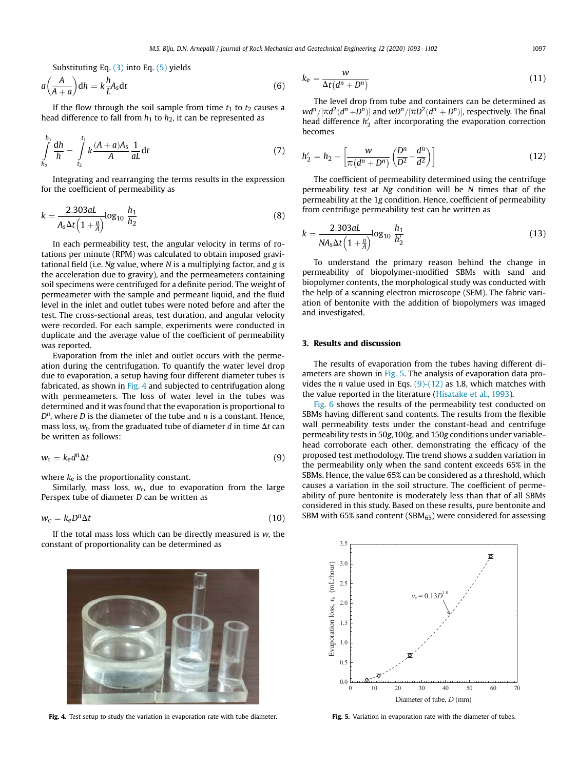Substituting Eq. (3) into Eq. (5) yields

$$
a\left(\frac{A}{A+a}\right)dh = k\frac{h}{L}A_s dt
$$
\n(6)

If the flow through the soil sample from time  $t_1$  to  $t_2$  causes a head difference to fall from  $h_1$  to  $h_2$ , it can be represented as

$$
\int_{h_2}^{h_1} \frac{dh}{h} = \int_{t_2}^{t_1} k \frac{(A+a)A_s}{A} \frac{1}{aL} dt
$$
\n(7)

Integrating and rearranging the terms results in the expression for the coefficient of permeability as

$$
k = \frac{2.303aL}{A_s \Delta t \left(1 + \frac{a}{A}\right)} \log_{10} \frac{h_1}{h_2}
$$
(8)

In each permeability test, the angular velocity in terms of rotations per minute (RPM) was calculated to obtain imposed gravitational field (i.e. *Ng* value, where *N* is a multiplying factor, and *g* is the acceleration due to gravity), and the permeameters containing soil specimens were centrifuged for a definite period. The weight of permeameter with the sample and permeant liquid, and the fluid level in the inlet and outlet tubes were noted before and after the test. The cross-sectional areas, test duration, and angular velocity were recorded. For each sample, experiments were conducted in duplicate and the average value of the coefficient of permeability was reported.

Evaporation from the inlet and outlet occurs with the permeation during the centrifugation. To quantify the water level drop due to evaporation, a setup having four different diameter tubes is fabricated, as shown in Fig. 4 and subjected to centrifugation along with permeameters. The loss of water level in the tubes was determined and it was found that the evaporation is proportional to *D n* , where *D* is the diameter of the tube and *n* is a constant. Hence, mass loss,  $w_{\rm t}$ , from the graduated tube of diameter  $d$  in time  $\Delta t$  can be written as follows:

$$
w_t = k_{\rm e} d^n \Delta t \tag{9}
$$

where  $k_e$  is the proportionality constant.

Similarly, mass loss,  $w_c$ , due to evaporation from the large Perspex tube of diameter *D* can be written as

 $w_c = k_e D^n \Delta t$  $n\Delta t$  (10)

If the total mass loss which can be directly measured is *w*, the constant of proportionality can be determined as



Fig. 4. Test setup to study the variation in evaporation rate with tube diameter.

$$
k_{\rm e} = \frac{w}{\Delta t (d^n + D^n)}
$$
\n(11)

The level drop from tube and containers can be determined as  $\frac{d^n}{\pi}$   $[\pi d^2(d^n + D^n)]$  and  $wD^n/[\pi D^2(d^n + D^n)]$ , respectively. The final head difference  $h'_2$  after incorporating the evaporation correction becomes

$$
h_2' = h_2 - \left[\frac{w}{\pi(d^n + D^n)} \left(\frac{D^n}{D^2} - \frac{d^n}{d^2}\right)\right]
$$
 (12)

The coefficient of permeability determined using the centrifuge permeability test at *Ng* condition will be *N* times that of the permeability at the 1*g* condition. Hence, coefficient of permeability from centrifuge permeability test can be written as

$$
k = \frac{2.303aL}{NA_s \Delta t \left(1 + \frac{a}{A}\right)} \log_{10} \frac{h_1}{h_2'}
$$
(13)

To understand the primary reason behind the change in permeability of biopolymer-modified SBMs with sand and biopolymer contents, the morphological study was conducted with the help of a scanning electron microscope (SEM). The fabric variation of bentonite with the addition of biopolymers was imaged and investigated.

#### 3. Results and discussion

The results of evaporation from the tubes having different diameters are shown in Fig. 5. The analysis of evaporation data provides the *n* value used in Eqs. (9)-(12) as 1.8, which matches with the value reported in the literature (Hisatake et al., 1993).

Fig. 6 shows the results of the permeability test conducted on SBMs having different sand contents. The results from the flexible wall permeability tests under the constant-head and centrifuge permeability tests in 50*g*, 100*g*, and 150*g* conditions under variablehead corroborate each other, demonstrating the efficacy of the proposed test methodology. The trend shows a sudden variation in the permeability only when the sand content exceeds 65% in the SBMs. Hence, the value 65% can be considered as a threshold, which causes a variation in the soil structure. The coefficient of permeability of pure bentonite is moderately less than that of all SBMs considered in this study. Based on these results, pure bentonite and SBM with 65% sand content (SBM $_{65}$ ) were considered for assessing



Fig. 5. Variation in evaporation rate with the diameter of tubes.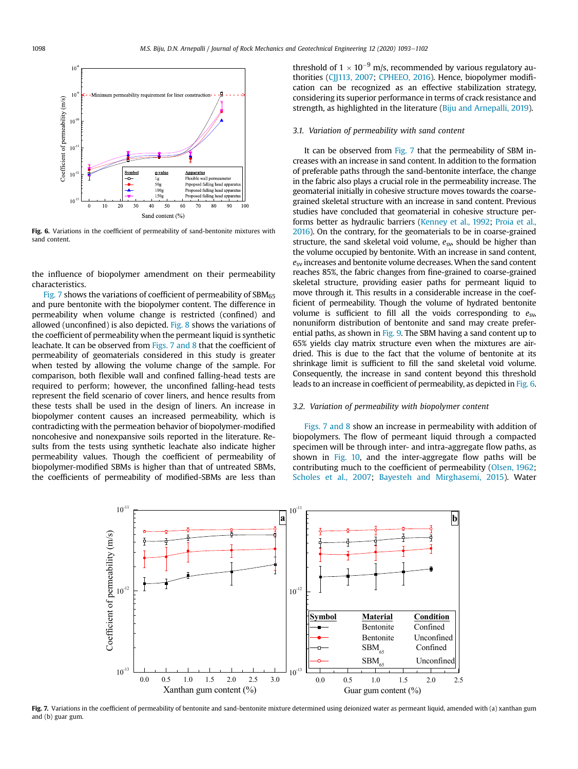

Fig. 6. Variations in the coefficient of permeability of sand-bentonite mixtures with sand content.

the influence of biopolymer amendment on their permeability characteristics.

Fig. 7 shows the variations of coefficient of permeability of  $SBM_{65}$ and pure bentonite with the biopolymer content. The difference in permeability when volume change is restricted (confined) and allowed (unconfined) is also depicted. Fig. 8 shows the variations of the coefficient of permeability when the permeant liquid is synthetic leachate. It can be observed from Figs. 7 and 8 that the coefficient of permeability of geomaterials considered in this study is greater when tested by allowing the volume change of the sample. For comparison, both flexible wall and confined falling-head tests are required to perform; however, the unconfined falling-head tests represent the field scenario of cover liners, and hence results from these tests shall be used in the design of liners. An increase in biopolymer content causes an increased permeability, which is contradicting with the permeation behavior of biopolymer-modified noncohesive and nonexpansive soils reported in the literature. Results from the tests using synthetic leachate also indicate higher permeability values. Though the coefficient of permeability of biopolymer-modified SBMs is higher than that of untreated SBMs, the coefficients of permeability of modified-SBMs are less than threshold of  $1 \times 10^{-9}$  m/s, recommended by various regulatory authorities (CJJ113, 2007; CPHEEO, 2016). Hence, biopolymer modification can be recognized as an effective stabilization strategy, considering its superior performance in terms of crack resistance and strength, as highlighted in the literature (Biju and Arnepalli, 2019).

#### *3.1. Variation of permeability with sand content*

It can be observed from Fig. 7 that the permeability of SBM increases with an increase in sand content. In addition to the formation of preferable paths through the sand-bentonite interface, the change in the fabric also plays a crucial role in the permeability increase. The geomaterial initially in cohesive structure moves towards the coarsegrained skeletal structure with an increase in sand content. Previous studies have concluded that geomaterial in cohesive structure performs better as hydraulic barriers (Kenney et al., 1992; Proia et al., 2016). On the contrary, for the geomaterials to be in coarse-grained structure, the sand skeletal void volume,  $e_{sw}$  should be higher than the volume occupied by bentonite. With an increase in sand content, *e*sv increases and bentonite volume decreases. When the sand content reaches 85%, the fabric changes from fine-grained to coarse-grained skeletal structure, providing easier paths for permeant liquid to move through it. This results in a considerable increase in the coefficient of permeability. Though the volume of hydrated bentonite volume is sufficient to fill all the voids corresponding to  $e_{\rm sv}$ , nonuniform distribution of bentonite and sand may create preferential paths, as shown in Fig. 9. The SBM having a sand content up to 65% yields clay matrix structure even when the mixtures are airdried. This is due to the fact that the volume of bentonite at its shrinkage limit is sufficient to fill the sand skeletal void volume. Consequently, the increase in sand content beyond this threshold leads to an increase in coefficient of permeability, as depicted in Fig. 6.

#### *3.2. Variation of permeability with biopolymer content*

Figs. 7 and 8 show an increase in permeability with addition of biopolymers. The flow of permeant liquid through a compacted specimen will be through inter- and intra-aggregate flow paths, as shown in Fig. 10, and the inter-aggregate flow paths will be contributing much to the coefficient of permeability (Olsen, 1962; Scholes et al., 2007; Bayesteh and Mirghasemi, 2015). Water



Fig. 7. Variations in the coefficient of permeability of bentonite and sand-bentonite mixture determined using deionized water as permeant liquid, amended with (a) xanthan gum and (b) guar gum.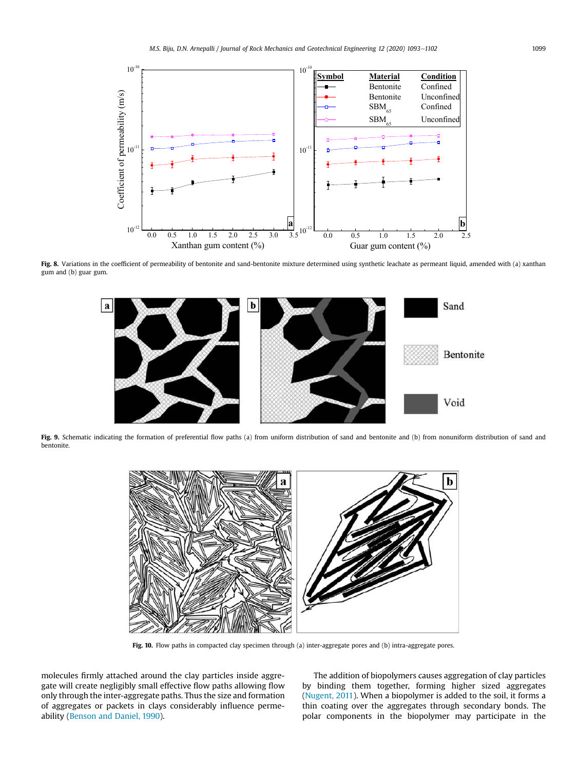

Fig. 8. Variations in the coefficient of permeability of bentonite and sand-bentonite mixture determined using synthetic leachate as permeant liquid, amended with (a) xanthan gum and (b) guar gum.



Fig. 9. Schematic indicating the formation of preferential flow paths (a) from uniform distribution of sand and bentonite and (b) from nonuniform distribution of sand and bentonite.



Fig. 10. Flow paths in compacted clay specimen through (a) inter-aggregate pores and (b) intra-aggregate pores.

molecules firmly attached around the clay particles inside aggregate will create negligibly small effective flow paths allowing flow only through the inter-aggregate paths. Thus the size and formation of aggregates or packets in clays considerably influence permeability (Benson and Daniel, 1990).

The addition of biopolymers causes aggregation of clay particles by binding them together, forming higher sized aggregates (Nugent, 2011). When a biopolymer is added to the soil, it forms a thin coating over the aggregates through secondary bonds. The polar components in the biopolymer may participate in the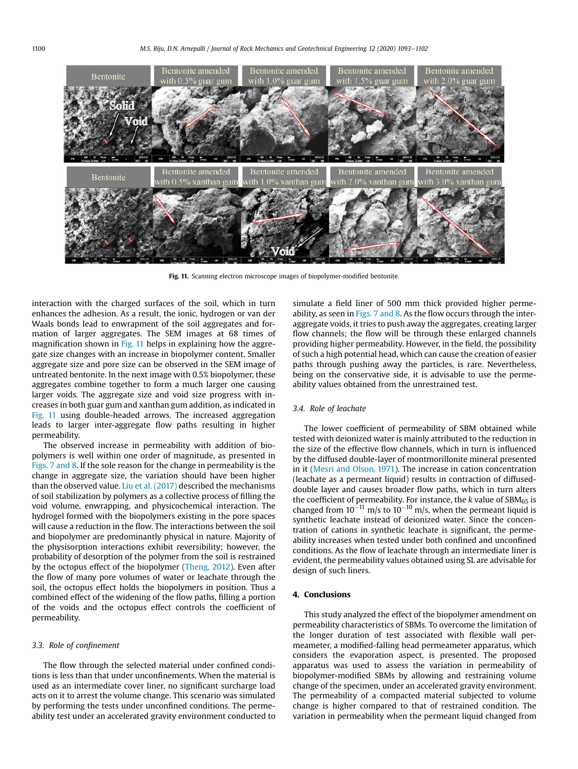

Fig. 11. Scanning electron microscope images of biopolymer-modified bentonite.

interaction with the charged surfaces of the soil, which in turn enhances the adhesion. As a result, the ionic, hydrogen or van der Waals bonds lead to enwrapment of the soil aggregates and formation of larger aggregates. The SEM images at 68 times of magnification shown in Fig. 11 helps in explaining how the aggregate size changes with an increase in biopolymer content. Smaller aggregate size and pore size can be observed in the SEM image of untreated bentonite. In the next image with 0.5% biopolymer, these aggregates combine together to form a much larger one causing larger voids. The aggregate size and void size progress with increases in both guar gum and xanthan gum addition, as indicated in Fig. 11 using double-headed arrows. The increased aggregation leads to larger inter-aggregate flow paths resulting in higher permeability.

The observed increase in permeability with addition of biopolymers is well within one order of magnitude, as presented in Figs. 7 and 8. If the sole reason for the change in permeability is the change in aggregate size, the variation should have been higher than the observed value. Liu et al. (2017) described the mechanisms of soil stabilization by polymers as a collective process of filling the void volume, enwrapping, and physicochemical interaction. The hydrogel formed with the biopolymers existing in the pore spaces will cause a reduction in the flow. The interactions between the soil and biopolymer are predominantly physical in nature. Majority of the physisorption interactions exhibit reversibility; however, the probability of desorption of the polymer from the soil is restrained by the octopus effect of the biopolymer (Theng, 2012). Even after the flow of many pore volumes of water or leachate through the soil, the octopus effect holds the biopolymers in position. Thus a combined effect of the widening of the flow paths, filling a portion of the voids and the octopus effect controls the coefficient of permeability.

#### *3.3. Role of con*fi*nement*

The flow through the selected material under confined conditions is less than that under unconfinements. When the material is used as an intermediate cover liner, no significant surcharge load acts on it to arrest the volume change. This scenario was simulated by performing the tests under unconfined conditions. The permeability test under an accelerated gravity environment conducted to simulate a field liner of 500 mm thick provided higher permeability, as seen in Figs. 7 and 8. As the flow occurs through the interaggregate voids, it tries to push away the aggregates, creating larger flow channels; the flow will be through these enlarged channels providing higher permeability. However, in the field, the possibility of such a high potential head, which can cause the creation of easier paths through pushing away the particles, is rare. Nevertheless, being on the conservative side, it is advisable to use the permeability values obtained from the unrestrained test.

### *3.4. Role of leachate*

The lower coefficient of permeability of SBM obtained while tested with deionized water is mainly attributed to the reduction in the size of the effective flow channels, which in turn is influenced by the diffused double-layer of montmorillonite mineral presented in it (Mesri and Olson, 1971). The increase in cation concentration (leachate as a permeant liquid) results in contraction of diffuseddouble layer and causes broader flow paths, which in turn alters the coefficient of permeability. For instance, the  $k$  value of  $SBM_{65}$  is changed from  $10^{-11}$  m/s to  $10^{-10}$  m/s, when the permeant liquid is synthetic leachate instead of deionized water. Since the concentration of cations in synthetic leachate is significant, the permeability increases when tested under both confined and unconfined conditions. As the flow of leachate through an intermediate liner is evident, the permeability values obtained using SL are advisable for design of such liners.

#### 4. Conclusions

This study analyzed the effect of the biopolymer amendment on permeability characteristics of SBMs. To overcome the limitation of the longer duration of test associated with flexible wall permeameter, a modified-falling head permeameter apparatus, which considers the evaporation aspect, is presented. The proposed apparatus was used to assess the variation in permeability of biopolymer-modified SBMs by allowing and restraining volume change of the specimen, under an accelerated gravity environment. The permeability of a compacted material subjected to volume change is higher compared to that of restrained condition. The variation in permeability when the permeant liquid changed from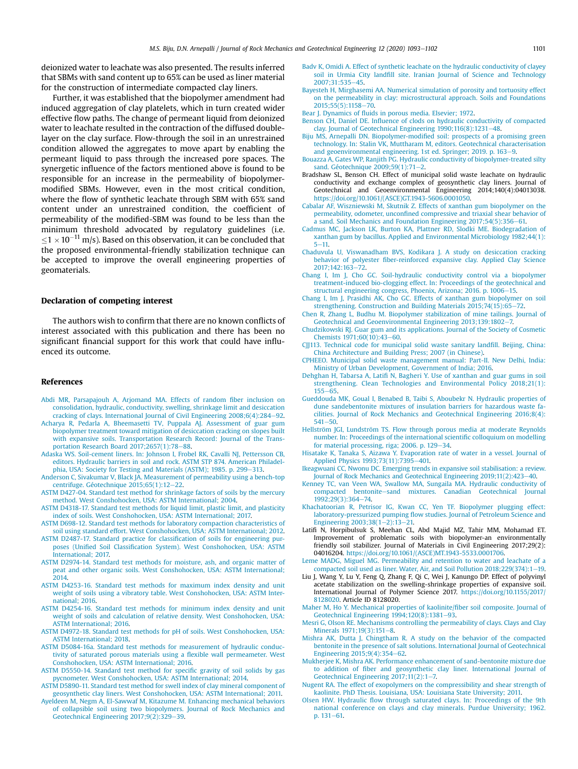deionized water to leachate was also presented. The results inferred that SBMs with sand content up to 65% can be used as liner material for the construction of intermediate compacted clay liners.

Further, it was established that the biopolymer amendment had induced aggregation of clay platelets, which in turn created wider effective flow paths. The change of permeant liquid from deionized water to leachate resulted in the contraction of the diffused doublelayer on the clay surface. Flow-through the soil in an unrestrained condition allowed the aggregates to move apart by enabling the permeant liquid to pass through the increased pore spaces. The synergetic influence of the factors mentioned above is found to be responsible for an increase in the permeability of biopolymermodified SBMs. However, even in the most critical condition, where the flow of synthetic leachate through SBM with 65% sand content under an unrestrained condition, the coefficient of permeability of the modified-SBM was found to be less than the minimum threshold advocated by regulatory guidelines (i.e.  $1 \leq 1 \times 10^{-11}$  m/s). Based on this observation, it can be concluded that the proposed environmental-friendly stabilization technique can be accepted to improve the overall engineering properties of geomaterials.

#### Declaration of competing interest

The authors wish to confirm that there are no known conflicts of interest associated with this publication and there has been no significant financial support for this work that could have influenced its outcome.

#### References

- Abdi MR, Parsapajouh A, Arjomand MA. Effects of random fiber inclusion on consolidation, hydraulic, conductivity, swelling, shrinkage limit and desiccation cracking of clays. International Journal of Civil Engineering 2008;6(4):284-92.
- Acharya R, Pedarla A, Bheemasetti TV, Puppala AJ. Assessment of guar gum biopolymer treatment toward mitigation of desiccation cracking on slopes built with expansive soils. Transportation Research Record: Journal of the Transportation Research Board  $2017:2657(1):78-88$ .
- Adaska WS. Soil-cement liners. In: Johnson I, Frobel RK, Cavalli NJ, Pettersson CB, editors. Hydraulic barriers in soil and rock. ASTM STP 874. American Philadelphia, USA: Society for Testing and Materials (ASTM): 1985. p. 299–313.
- Anderson C, Sivakumar V, Black JA. Measurement of permeability using a bench-top centrifuge. Géotechnique  $2015;65(1):12-22$ .
- ASTM D427-04. Standard test method for shrinkage factors of soils by the mercury method. West Conshohocken, USA: ASTM International; 2004.
- ASTM D4318-17. Standard test methods for liquid limit, plastic limit, and plasticity index of soils. West Conshohocken, USA: ASTM International: 2017.
- ASTM D698-12. Standard test methods for laboratory compaction characteristics of soil using standard effort. West Conshohocken, USA: ASTM International; 2012.
- ASTM D2487-17. Standard practice for classification of soils for engineering purposes (Unified Soil Classification System). West Conshohocken, USA: ASTM International; 2017.
- ASTM D2974-14. Standard test methods for moisture, ash, and organic matter of peat and other organic soils. West Conshohocken, USA: ASTM International; 2014.
- ASTM D4253-16. Standard test methods for maximum index density and unit weight of soils using a vibratory table. West Conshohocken, USA: ASTM International; 2016.
- ASTM D4254-16. Standard test methods for minimum index density and unit weight of soils and calculation of relative density. West Conshohocken, USA: ASTM International; 2016.
- ASTM D4972-18. Standard test methods for pH of soils. West Conshohocken, USA: ASTM International; 2018.
- ASTM D5084-16a. Standard test methods for measurement of hydraulic conductivity of saturated porous materials using a flexible wall permeameter. West Conshohocken, USA: ASTM International; 2016.
- ASTM D5550-14. Standard test method for specific gravity of soil solids by gas pycnometer. West Conshohocken, USA: ASTM International; 2014.
- ASTM D5890-11. Standard test method for swell index of clay mineral component of geosynthetic clay liners. West Conshohocken, USA: ASTM International; 2011.
- Ayeldeen M, Negm A, El-Sawwaf M, Kitazume M. Enhancing mechanical behaviors of collapsible soil using two biopolymers. Journal of Rock Mechanics and Geotechnical Engineering 2017;9(2):329-39.
- Badv K, Omidi A. Effect of synthetic leachate on the hydraulic conductivity of clayey soil in Urmia City landfill site. Iranian Journal of Science and Technology 2007:31:535-45.
- Bayesteh H, Mirghasemi AA. Numerical simulation of porosity and tortuosity effect on the permeability in clay: microstructural approach. Soils and Foundations  $2015;55(5):1158-70.$
- Bear J. Dynamics of fluids in porous media. Elsevier; 1972.
- Benson CH, Daniel DE. Influence of clods on hydraulic conductivity of compacted clay. Journal of Geotechnical Engineering  $1990:116(8):1231-48$ .
- Biju MS, Arnepalli DN. Biopolymer-modified soil: prospects of a promising green technology. In: Stalin VK, Muttharam M, editors. Geotechnical characterisation and geoenvironmental engineering. 1st ed. Springer; 2019. p.  $163-9$ .
- Bouazza A, Gates WP, Ranjith PG. Hydraulic conductivity of biopolymer-treated silty sand. Géotechnique  $2009:59(1):71-2$ .
- Bradshaw SL, Benson CH. Effect of municipal solid waste leachate on hydraulic conductivity and exchange complex of geosynthetic clay liners. Journal of Geotechnical and Geoenvironmental Engineering 2014;140(4):04013038. https://doi.org/10.1061/(ASCE)GT.1943-5606.0001050.
- Cabalar AF, Wiszniewski M, Skutnik Z. Effects of xanthan gum biopolymer on the permeability, odometer, unconfined compressive and triaxial shear behavior of a sand. Soil Mechanics and Foundation Engineering 2017;54(5):356-61.
- Cadmus MC, Jackson LK, Burton KA, Plattner RD, Slodki ME. Biodegradation of xanthan gum by bacillus. Applied and Environmental Microbiology 1982;44(1):  $5 - 11.$
- Chaduvula U, Viswanadham BVS, Kodikara J. A study on desiccation cracking behavior of polyester fiber-reinforced expansive clay. Applied Clay Science 2017;142:163e72.
- Chang I, Im J, Cho GC. Soil-hydraulic conductivity control via a biopolymer treatment-induced bio-clogging effect. In: Proceedings of the geotechnical and structural engineering congress, Phoenix, Arizona; 2016. p. 1006-15.
- Chang I, Im J, Prasidhi AK, Cho GC. Effects of xanthan gum biopolymer on soil strengthening. Construction and Building Materials 2015;74(15):65-72.
- Chen R, Zhang L, Budhu M. Biopolymer stabilization of mine tailings. Journal of Geotechnical and Geoenvironmental Engineering 2013;139:1802-7.
- Chudzikowski RJ. Guar gum and its applications. Journal of the Society of Cosmetic Chemists 1971;60(10):43-60.
- CJJ113. Technical code for municipal solid waste sanitary landfill. Beijing, China: China Architecture and Building Press; 2007 (in Chinese).
- CPHEEO. Municipal solid waste management manual: Part-II. New Delhi, India: Ministry of Urban Development, Government of India; 2016.
- Dehghan H, Tabarsa A, Latifi N, Bagheri Y. Use of xanthan and guar gums in soil strengthening. Clean Technologies and Environmental Policy 2018;21(1):  $155 - 65$
- Gueddouda MK, Goual I, Benabed B, Taibi S, Aboubekr N. Hydraulic properties of dune sandebentonite mixtures of insulation barriers for hazardous waste facilities. Journal of Rock Mechanics and Geotechnical Engineering 2016;8(4):  $541 - 50$
- Hellström JGI, Lundström TS. Flow through porous media at moderate Reynolds number. In: Proceedings of the international scientific colloquium on modelling for material processing, riga;  $2006$ . p.  $129-34$ .
- Hisatake K, Tanaka S, Aizawa Y. Evaporation rate of water in a vessel. Journal of Applied Physics 1993;73(11):7395-401.
- Ikeagwuani CC, Nwonu DC. Emerging trends in expansive soil stabilisation: a review. Journal of Rock Mechanics and Geotechnical Engineering 2019;11(2):423-40.
- Kenney TC, van Veen WA, Swallow MA, Sungaila MA. Hydraulic conductivity of compacted bentonite-sand mixtures. Canadian Geotechnical Journal 1992;29(3):364-74.
- Khachatoorian R, Petrisor IG, Kwan CC, Yen TF. Biopolymer plugging effect: laboratory-pressurized pumping flow studies. Journal of Petroleum Science and Engineering  $2003:38(1-2):13-21$ .
- Latifi N, Horpibulsuk S, Meehan CL, Abd Majid MZ, Tahir MM, Mohamad ET. Improvement of problematic soils with biopolymer-an environmentally friendly soil stabilizer. Journal of Materials in Civil Engineering 2017;29(2): 04016204. https://doi.org/10.1061/(ASCE)MT.1943-5533.0001706.
- Leme MADG, Miguel MG. Permeability and retention to water and leachate of a compacted soil used as liner. Water, Air, and Soil Pollution 2018;229(374):1-19.
- Liu J, Wang Y, Lu Y, Feng Q, Zhang F, Qi C, Wei J, Kanungo DP. Effect of polyvinyl acetate stabilization on the swelling-shrinkage properties of expansive soil. International Journal of Polymer Science 2017. https://doi.org/10.1155/2017/ 8128020. Article ID 8128020.
- Maher M, Ho Y. Mechanical properties of kaolinite/fiber soil composite. Journal of Geotechnical Engineering  $1994;120(8):1381-93$ .
- Mesri G, Olson RE. Mechanisms controlling the permeability of clays. Clays and Clay Minerals 1971;19(3):151-8.
- Mishra AK, Dutta J, Chingtham R. A study on the behavior of the compacted bentonite in the presence of salt solutions. International Journal of Geotechnical Engineering  $2015;9(4):354-62$ .
- Mukherjee K, Mishra AK. Performance enhancement of sand-bentonite mixture due to addition of fiber and geosynthetic clay liner. International Journal of Geotechnical Engineering  $2017;11(2):1-7$ .
- Nugent RA. The effect of exopolymers on the compressibility and shear strength of kaolinite. PhD Thesis. Louisiana, USA: Louisiana State University; 2011.
- Olsen HW. Hydraulic flow through saturated clays. In: Proceedings of the 9th national conference on clays and clay minerals. Purdue University; 1962. p.  $131 - 61$ .